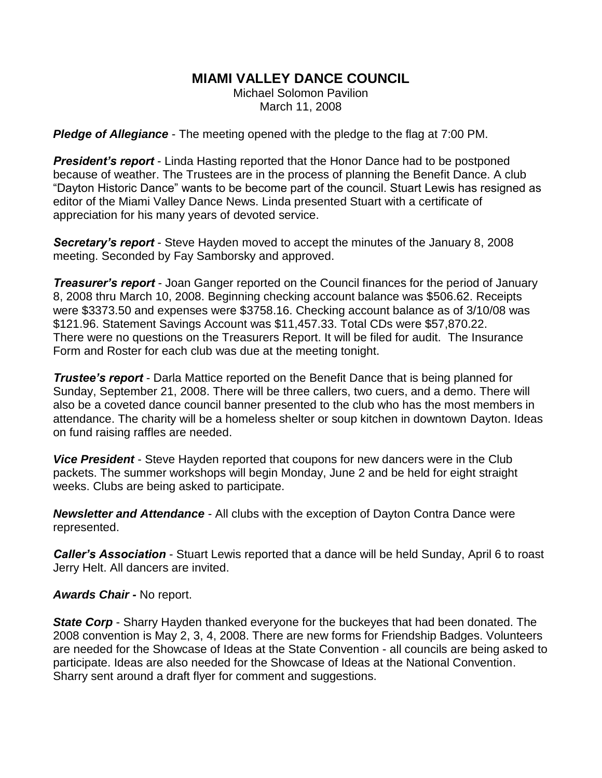## **MIAMI VALLEY DANCE COUNCIL**

Michael Solomon Pavilion March 11, 2008

*Pledge of Allegiance* - The meeting opened with the pledge to the flag at 7:00 PM.

**President's report** - Linda Hasting reported that the Honor Dance had to be postponed because of weather. The Trustees are in the process of planning the Benefit Dance. A club "Dayton Historic Dance" wants to be become part of the council. Stuart Lewis has resigned as editor of the Miami Valley Dance News. Linda presented Stuart with a certificate of appreciation for his many years of devoted service.

*Secretary's report* - Steve Hayden moved to accept the minutes of the January 8, 2008 meeting. Seconded by Fay Samborsky and approved.

*Treasurer's report* - Joan Ganger reported on the Council finances for the period of January 8, 2008 thru March 10, 2008. Beginning checking account balance was \$506.62. Receipts were \$3373.50 and expenses were \$3758.16. Checking account balance as of 3/10/08 was \$121.96. Statement Savings Account was \$11,457.33. Total CDs were \$57,870.22. There were no questions on the Treasurers Report. It will be filed for audit. The Insurance Form and Roster for each club was due at the meeting tonight.

*Trustee's report* - Darla Mattice reported on the Benefit Dance that is being planned for Sunday, September 21, 2008. There will be three callers, two cuers, and a demo. There will also be a coveted dance council banner presented to the club who has the most members in attendance. The charity will be a homeless shelter or soup kitchen in downtown Dayton. Ideas on fund raising raffles are needed.

*Vice President* - Steve Hayden reported that coupons for new dancers were in the Club packets. The summer workshops will begin Monday, June 2 and be held for eight straight weeks. Clubs are being asked to participate.

*Newsletter and Attendance* - All clubs with the exception of Dayton Contra Dance were represented.

*Caller's Association* - Stuart Lewis reported that a dance will be held Sunday, April 6 to roast Jerry Helt. All dancers are invited.

*Awards Chair -* No report.

*State Corp* - Sharry Hayden thanked everyone for the buckeyes that had been donated. The 2008 convention is May 2, 3, 4, 2008. There are new forms for Friendship Badges. Volunteers are needed for the Showcase of Ideas at the State Convention - all councils are being asked to participate. Ideas are also needed for the Showcase of Ideas at the National Convention. Sharry sent around a draft flyer for comment and suggestions.